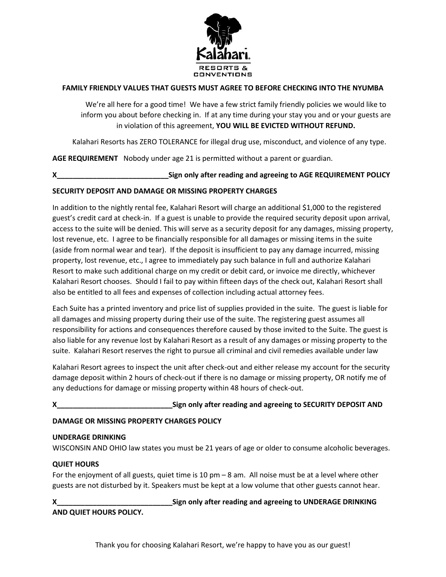

# **FAMILY FRIENDLY VALUES THAT GUESTS MUST AGREE TO BEFORE CHECKING INTO THE NYUMBA**

We're all here for a good time! We have a few strict family friendly policies we would like to inform you about before checking in. If at any time during your stay you and or your guests are in violation of this agreement, **YOU WILL BE EVICTED WITHOUT REFUND.**

Kalahari Resorts has ZERO TOLERANCE for illegal drug use, misconduct, and violence of any type.

**AGE REQUIREMENT** Nobody under age 21 is permitted without a parent or guardian.

**X\_\_\_\_\_\_\_\_\_\_\_\_\_\_\_\_\_\_\_\_\_\_\_\_\_\_\_\_Sign only after reading and agreeing to AGE REQUIREMENT POLICY**

## **SECURITY DEPOSIT AND DAMAGE OR MISSING PROPERTY CHARGES**

In addition to the nightly rental fee, Kalahari Resort will charge an additional \$1,000 to the registered guest's credit card at check-in. If a guest is unable to provide the required security deposit upon arrival, access to the suite will be denied. This will serve as a security deposit for any damages, missing property, lost revenue, etc. I agree to be financially responsible for all damages or missing items in the suite (aside from normal wear and tear). If the deposit is insufficient to pay any damage incurred, missing property, lost revenue, etc., I agree to immediately pay such balance in full and authorize Kalahari Resort to make such additional charge on my credit or debit card, or invoice me directly, whichever Kalahari Resort chooses. Should I fail to pay within fifteen days of the check out, Kalahari Resort shall also be entitled to all fees and expenses of collection including actual attorney fees.

Each Suite has a printed inventory and price list of supplies provided in the suite. The guest is liable for all damages and missing property during their use of the suite. The registering guest assumes all responsibility for actions and consequences therefore caused by those invited to the Suite. The guest is also liable for any revenue lost by Kalahari Resort as a result of any damages or missing property to the suite. Kalahari Resort reserves the right to pursue all criminal and civil remedies available under law

Kalahari Resort agrees to inspect the unit after check-out and either release my account for the security damage deposit within 2 hours of check-out if there is no damage or missing property, OR notify me of any deductions for damage or missing property within 48 hours of check-out.

**X\_\_\_\_\_\_\_\_\_\_\_\_\_\_\_\_\_\_\_\_\_\_\_\_\_\_\_\_\_Sign only after reading and agreeing to SECURITY DEPOSIT AND** 

## **DAMAGE OR MISSING PROPERTY CHARGES POLICY**

## **UNDERAGE DRINKING**

WISCONSIN AND OHIO law states you must be 21 years of age or older to consume alcoholic beverages.

## **QUIET HOURS**

For the enjoyment of all guests, quiet time is 10 pm – 8 am. All noise must be at a level where other guests are not disturbed by it. Speakers must be kept at a low volume that other guests cannot hear.

**X\_\_\_\_\_\_\_\_\_\_\_\_\_\_\_\_\_\_\_\_\_\_\_\_\_\_\_\_\_Sign only after reading and agreeing to UNDERAGE DRINKING AND QUIET HOURS POLICY.**